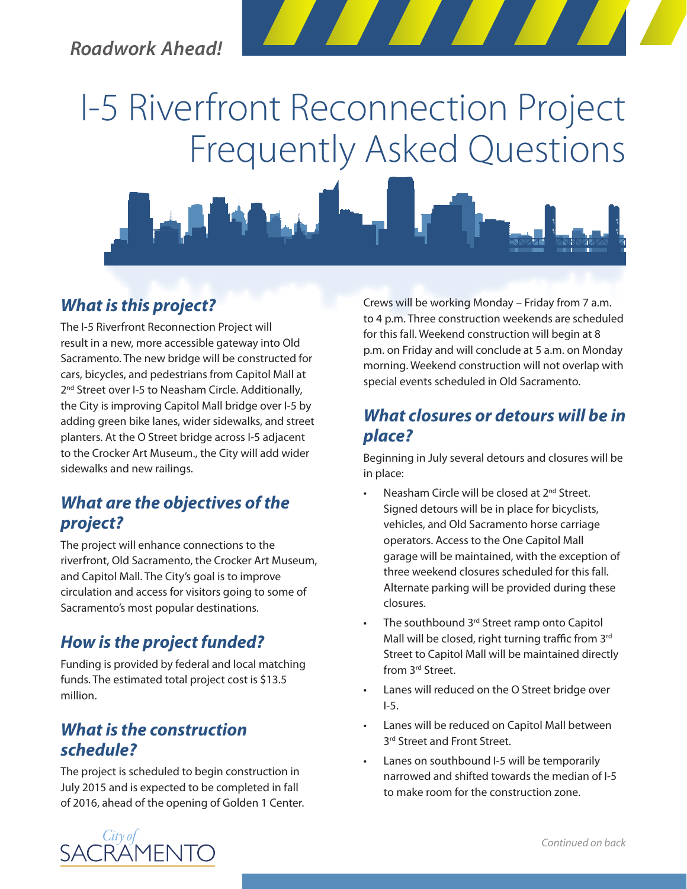## *Roadwork Ahead!*

# I-5 Riverfront Reconnection Project Frequently Asked Questions



## *What is this project?*

The I-5 Riverfront Reconnection Project will result in a new, more accessible gateway into Old Sacramento. The new bridge will be constructed for cars, bicycles, and pedestrians from Capitol Mall at 2<sup>nd</sup> Street over I-5 to Neasham Circle. Additionally, the City is improving Capitol Mall bridge over I-5 by adding green bike lanes, wider sidewalks, and street planters. At the O Street bridge across I-5 adjacent to the Crocker Art Museum., the City will add wider sidewalks and new railings.

## *What are the objectives of the project?*

The project will enhance connections to the riverfront, Old Sacramento, the Crocker Art Museum, and Capitol Mall. The City's goal is to improve circulation and access for visitors going to some of Sacramento's most popular destinations.

## *How is the project funded?*

Funding is provided by federal and local matching funds. The estimated total project cost is \$13.5 million.

#### *What is the construction schedule?*

The project is scheduled to begin construction in July 2015 and is expected to be completed in fall of 2016, ahead of the opening of Golden 1 Center. Crews will be working Monday – Friday from 7 a.m. to 4 p.m. Three construction weekends are scheduled for this fall. Weekend construction will begin at 8 p.m. on Friday and will conclude at 5 a.m. on Monday morning. Weekend construction will not overlap with special events scheduled in Old Sacramento.

## *What closures or detours will be in place?*

Beginning in July several detours and closures will be in place:

- Neasham Circle will be closed at 2<sup>nd</sup> Street. Signed detours will be in place for bicyclists, vehicles, and Old Sacramento horse carriage operators. Access to the One Capitol Mall garage will be maintained, with the exception of three weekend closures scheduled for this fall. Alternate parking will be provided during these closures.
- The southbound 3<sup>rd</sup> Street ramp onto Capitol Mall will be closed, right turning traffic from 3rd Street to Capitol Mall will be maintained directly from 3rd Street.
- Lanes will reduced on the O Street bridge over I-5.
- Lanes will be reduced on Capitol Mall between 3<sup>rd</sup> Street and Front Street.
- Lanes on southbound I-5 will be temporarily narrowed and shifted towards the median of I-5 to make room for the construction zone.